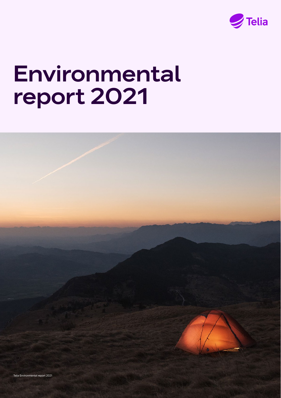

# Environmental report 2021

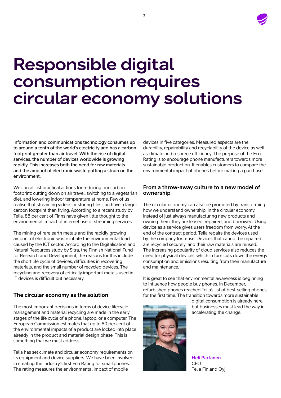

# Responsible digital consumption requires circular economy solutions

Information and communications technology consumes up to around a tenth of the world's electricity and has a carbon footprint greater than air travel. With the rise of digital services, the number of devices worldwide is growing rapidly. This increases both the need for raw materials and the amount of electronic waste putting a strain on the environment.

We can all list practical actions for reducing our carbon footprint: cutting down on air travel, switching to a vegetarian diet, and lowering indoor temperature at home. Few of us realise that streaming videos or storing files can have a larger carbon footprint than flying. According to a recent study by Telia, 88 per cent of Finns have given little thought to the environmental impact of internet use or streaming services.

The mining of rare earth metals and the rapidly growing amount of electronic waste inflate the environmental load caused by the ICT sector. According to the Digitalisation and Natural Resources study by Sitra, the Finnish National Fund for Research and Development, the reasons for this include the short life cycle of devices, difficulties in recovering materials, and the small number of recycled devices. The recycling and recovery of critically important metals used in IT devices is difficult but necessary.

#### **The circular economy as the solution**

The most important decisions in terms of device lifecycle management and material recycling are made in the early stages of the life cycle of a phone, laptop, or a computer. The European Commission estimates that up to 80 per cent of the environmental impacts of a product are locked into place already in the product and material design phase. This is something that we must address.

Telia has set climate and circular economy requirements on its equipment and device suppliers. We have been involved in creating the industry's first Eco Rating for smartphones. The rating measures the environmental impact of mobile

devices in five categories. Measured aspects are the durability, repairability and recyclability of the device as well as climate and resource efficiency. The purpose of the Eco Rating is to encourage phone manufacturers towards more sustainable production. It enables customers to compare the environmental impact of phones before making a purchase.

#### **From a throw-away culture to a new model of ownership**

The circular economy can also be promoted by transforming how we understand ownership. In the circular economy, instead of just always manufacturing new products and owning them, they are leased, repaired, and borrowed. Using device as a service gives users freedom from worry. At the end of the contract period, Telia repairs the devices used by the company for reuse. Devices that cannot be repaired are recycled securely, and their raw materials are reused. The increasing popularity of cloud services also reduces the need for physical devices, which in turn cuts down the energy consumption and emissions resulting from their manufacture and maintenance.

It is great to see that environmental awareness is beginning to influence how people buy phones. In December, refurbished phones reached Telia's list of best-selling phones for the first time. The transition towards more sustainable



digital consumption is already here, but businesses must lead the way in accelerating the change.

**Heli Partanen** CEO Telia Finland Oyj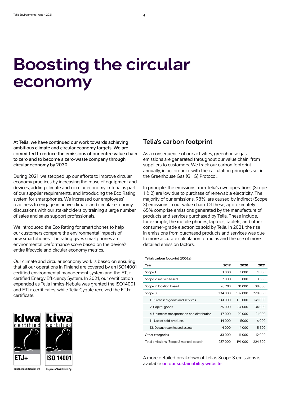# Boosting the circular economy

At Telia, we have continued our work towards achieving ambitious climate and circular economy targets. We are committed to reduce the emissions of our entire value chain to zero and to become a zero-waste company through circular economy by 2030.

During 2021, we stepped up our efforts to improve circular economy practices by increasing the reuse of equipment and devices, adding climate and circular economy criteria as part of our supplier requirements, and introducing the Eco Rating system for smartphones. We increased our employees' readiness to engage in active climate and circular economy discussions with our stakeholders by training a large number of sales and sales support professionals.

We introduced the Eco Rating for smartphones to help our customers compare the environmental impacts of new smartphones. The rating gives smartphones an environmental performance score based on the device's entire lifecycle and circular economy metrics.

Our climate and circular economy work is based on ensuring that all our operations in Finland are covered by an ISO14001 certified environmental management system and the ETJ+ certified Energy Efficiency System. In 2021, our certification expanded as Telia Inmics-Nebula was granted the ISO14001 and ETJ+ certificates, while Telia Cygate received the ETJ+ certificate.



**Inspecta Sertificinti Oy** 

```
Inspecta Sertificinti Ov
```
#### **Telia's carbon footprint**

As a consequence of our activities, greenhouse gas emissions are generated throughout our value chain, from suppliers to customers. We track our carbon footprint annually, in accordance with the calculation principles set in the Greenhouse Gas (GHG) Protocol.

In principle, the emissions from Telia's own operations (Scope 1 & 2) are low due to purchase of renewable electricity. The majority of our emissions, 98%, are caused by indirect (Scope 3) emissions in our value chain. Of these, approximately 65% comprise emissions generated by the manufacture of products and services purchased by Telia. These include, for example, the mobile phones, laptops, tablets, and other consumer-grade electronics sold by Telia. In 2021, the rise in emissions from purchased products and services was due to more accurate calculation formulas and the use of more detailed emission factors.

#### **Telia's carbon footprint (tCO2e)**

| Year                                        | 2019    | 2020    | 2021     |
|---------------------------------------------|---------|---------|----------|
| Scope 1                                     | 1000    | 1000    | 1000     |
| Scope 2, market-based                       | 2000    | 3 0 0 0 | 3500     |
| Scope 2, location based                     | 28 703  | 31000   | 38 000   |
| Scope 3                                     | 234 000 | 187000  | 220 000  |
| 1. Purchased goods and services             | 141 000 | 113 000 | 141 000  |
| 2. Capital goods                            | 25 000  | 34 000  | 34 000   |
| 4. Upstream transportation and distribution | 17000   | 20 000  | 21 0 0 0 |
| 11. Use of sold products                    | 14 000  | 5000    | 6000     |
| 13. Downstream leased assets                | 4 0 0 0 | 4 0 0 0 | 5500     |
| Other categories                            | 33 000  | 11 000  | 12000    |
| Total emissions (Scope 2 marked-based)      | 237000  | 191000  | 224 500  |

A more detailed breakdown of Telia's Scope 3 emissions is available [on our sustainability website.](https://www.telia.fi/telia-yrityksena/yritysvastuu/ymparistovastuu/hiilijalanjalki)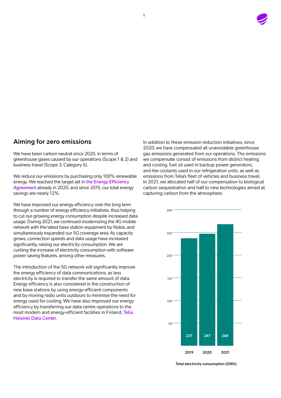

### **Aiming for zero emissions**

We have been carbon neutral since 2020, in terms of greenhouse gases caused by our operations (Scope 1 & 2) and business travel (Scope 3, Category 6).

We reduce our emissions by purchasing only 100% renewable energy. We reached the target set in the Energy Efficiency [Agreement](https://energiatehokkuussopimukset2017-2025.fi/en/) already in 2020, and since 2015, our total energy savings are nearly 12%.

We have improved our energy efficiency over the long term through a number of energy efficiency initiatives, thus helping to cut our growing energy consumption despite increased data usage. During 2021, we continued modernizing the 4G mobile network with the latest base station equipment by Nokia, and simultaneously expanded our 5G coverage area. As capacity grows, connection speeds and data usage have increased significantly, raising our electricity consumption. We are curbing the increase of electricity consumption with software power saving features, among other measures.

The introduction of the 5G network will significantly improve the energy efficiency of data communications, as less electricity is required to transfer the same amount of data. Energy efficiency is also considered in the construction of new base stations by using energy-efficient components and by moving radio units outdoors to minimise the need for energy used for cooling. We have also improved our energy efficiency by transferring our data centre operations to the most modern and energy-efficient facilities in Finland, [Telia](https://www.telia.fi/yrityksille/infrapalvelut/pilvi-ja-datakeskus/datakeskukset/helsinki-data-center?gclid=EAIaIQobChMI372n55Cs9gIVkJ-yCh39yg3WEAAYASAAEgK4k_D_BwE)  [Helsinki Data Center](https://www.telia.fi/yrityksille/infrapalvelut/pilvi-ja-datakeskus/datakeskukset/helsinki-data-center?gclid=EAIaIQobChMI372n55Cs9gIVkJ-yCh39yg3WEAAYASAAEgK4k_D_BwE).

In addition to these emission reduction initiatives, since 2020, we have compensated all unavoidable greenhouse gas emissions generated from our operations. The emissions we compensate consist of emissions from district heating and cooling, fuel oil used in backup power generators, and the coolants used in our refrigeration units, as well as emissions from Telia's fleet of vehicles and business travel. In 2021, we allocated half of our compensation to biological carbon sequestration and half to new technologies aimed at capturing carbon from the atmosphere.



**Total electricity consumption (GWh)**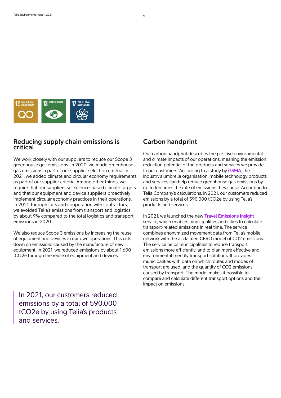

#### **Reducing supply chain emissions is critical**

We work closely with our suppliers to reduce our Scope 3 greenhouse gas emissions. In 2020, we made greenhouse gas emissions a part of our supplier selection criteria. In 2021, we added climate and circular economy requirements as part of our supplier criteria. Among other things, we require that our suppliers set science-based climate targets and that our equipment and device suppliers proactively implement circular economy practices in their operations. In 2021, through cuts and cooperation with contractors, we avoided Telia's emissions from transport and logistics by about 9% compared to the total logistics and transport emissions in 2020.

We also reduce Scope 3 emissions by increasing the reuse of equipment and devices in our own operations. This cuts down on emissions caused by the manufacture of new equipment. In 2021, we reduced emissions by about 1,600 tCO2e through the reuse of equipment and devices.

In 2021, our customers reduced emissions by a total of 590,000 tCO2e by using Telia's products and services.

#### **Carbon handprint**

Our carbon handprint describes the positive environmental and climate impacts of our operations, meaning the emission reduction potential of the products and services we provide to our customers. According to a study by [GSMA](https://www.gsma.com/newsroom/press-release/mobile-technologies-enabling-huge-carbon-reductions-in-response-to-climate-emergency/), the industry's umbrella organisation, mobile technology products and services can help reduce greenhouse gas emissions by up to ten times the rate of emissions they cause. According to Telia Company's calculations, in 2021, our customers reduced emissions by a total of 590,000 tCO2e by using Telia's products and services.

In 2021, we launched the new [Travel Emissions Insight](https://business.teliacompany.com/crowd-insights/travel-emission-insights) service, which enables municipalities and cities to calculate transport-related emissions in real time. The service combines anonymized movement data from Telia's mobile network with the acclaimed CERO model of CO2 emissions. The service helps municipalities to reduce transport emissions more efficiently, and to plan more effective and environmental friendly transport solutions. It provides municipalities with data on which routes and modes of transport are used, and the quantity of CO2 emissions caused by transport. The model makes it possible to compare and calculate different transport options and their impact on emissions.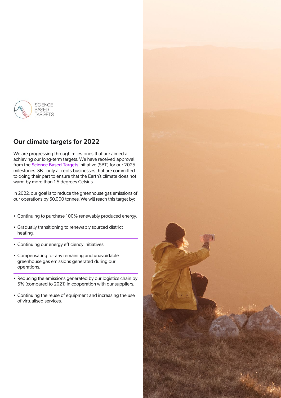

# **Our climate targets for 2022**

We are progressing through milestones that are aimed at achieving our long-term targets. We have received approval from the [Science Based Targets](https://sciencebasedtargets.org/) initiative (SBT) for our 2025 milestones. SBT only accepts businesses that are committed to doing their part to ensure that the Earth's climate does not warm by more than 1.5 degrees Celsius.

In 2022, our goal is to reduce the greenhouse gas emissions of our operations by 50,000 tonnes. We will reach this target by:

- Continuing to purchase 100% renewably produced energy.
- Gradually transitioning to renewably sourced district heating.
- Continuing our energy efficiency initiatives.
- Compensating for any remaining and unavoidable greenhouse gas emissions generated during our operations.
- Reducing the emissions generated by our logistics chain by 5% (compared to 2021) in cooperation with our suppliers.
- Continuing the reuse of equipment and increasing the use of virtualised services.

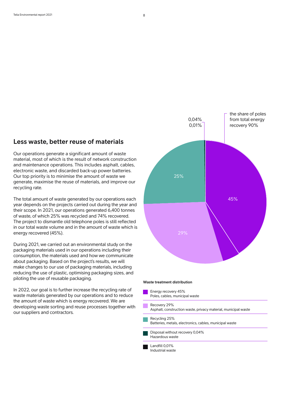#### **Less waste, better reuse of materials**

Our operations generate a significant amount of waste material, most of which is the result of network construction and maintenance operations. This includes asphalt, cables, electronic waste, and discarded back-up power batteries. Our top priority is to minimise the amount of waste we generate, maximise the reuse of materials, and improve our recycling rate.

The total amount of waste generated by our operations each year depends on the projects carried out during the year and their scope. In 2021, our operations generated 6,400 tonnes of waste, of which 25% was recycled and 74% recovered. The project to dismantle old telephone poles is still reflected in our total waste volume and in the amount of waste which is energy recovered (45%).

During 2021, we carried out an environmental study on the packaging materials used in our operations including their consumption, the materials used and how we communicate about packaging. Based on the project's results, we will make changes to our use of packaging materials, including reducing the use of plastic, optimising packaging sizes, and piloting the use of reusable packaging.

In 2022, our goal is to further increase the recycling rate of waste materials generated by our operations and to reduce the amount of waste which is energy recovered. We are developing waste sorting and reuse processes together with our suppliers and contractors.



#### **Waste treatment distribution**

| Energy recovery 45%<br>Poles, cables, municipal waste                          |
|--------------------------------------------------------------------------------|
| Recovery 29%<br>Asphalt, construction waste, privacy material, municipal waste |
| Recycling 25%<br>Batteries, metals, electronics, cables, municipal waste       |
| Disposal without recovery 0,04%<br>Hazardous waste                             |
| Landfill 0.01%                                                                 |

Industrial waste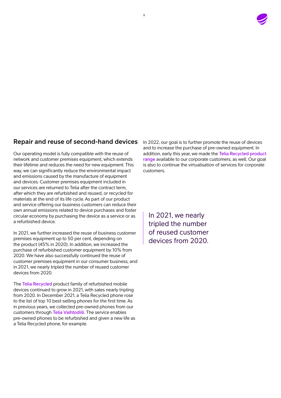

# **Repair and reuse of second-hand devices**

Our operating model is fully compatible with the reuse of network and customer premises equipment, which extends their lifetime and reduces the need for new equipment. This way, we can significantly reduce the environmental impact and emissions caused by the manufacture of equipment and devices. Customer premises equipment included in our services are returned to Telia after the contract term, after which they are refurbished and reused, or recycled for materials at the end of its life cycle. As part of our product and service offering our business customers can reduce their own annual emissions related to device purchases and foster circular economy by purchasing the device as a service or as a refurbished device.

In 2021, we further increased the reuse of business customer premises equipment up to 50 per cent, depending on the product (45% in 2020). In addition, we increased the purchase of refurbished customer equipment by 10% from 2020. We have also successfully continued the reuse of customer premises equipment in our consumer business, and in 2021, we nearly tripled the number of reused customer devices from 2020.

The [Telia Recycled](https://www.telia.fi/kauppa/puhelimet/telia-recycled-kierratyspuhelimet) product family of refurbished mobile devices continued to grow in 2021, with sales nearly tripling from 2020. In December 2021, a Telia Recycled phone rose to the list of top 10 best-selling phones for the first time. As in previous years, we collected pre-owned phones from our customers through [Telia Vaihtodiili](https://www.telia.fi/vaihtodiili). The service enables pre-owned phones to be refurbished and given a new life as a Telia Recycled phone, for example.

In 2022, our goal is to further promote the reuse of devices and to increase the purchase of pre-owned equipment. In addition, early this year, we made the [Telia Recycled product](https://www.telia.fi/yrityksille/kauppa/tuotteet/recycled)  [range](https://www.telia.fi/yrityksille/kauppa/tuotteet/recycled) available to our corporate customers, as well. Our goal is also to continue the virtualisation of services for corporate customers.

In 2021, we nearly tripled the number of reused customer devices from 2020.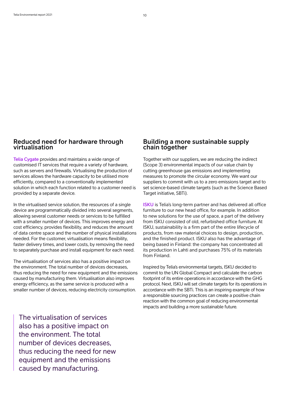#### **Reduced need for hardware through virtualisation**

[Telia Cygate](https://www.teliacygate.fi/en/) provides and maintains a wide range of customised IT services that require a variety of hardware, such as servers and firewalls. Virtualising the production of services allows the hardware capacity to be utilised more efficiently, compared to a conventionally implemented solution in which each function related to a customer need is provided by a separate device.

In the virtualised service solution, the resources of a single device are programmatically divided into several segments, allowing several customer needs or services to be fulfilled with a smaller number of devices. This improves energy and cost efficiency, provides flexibility, and reduces the amount of data centre space and the number of physical installations needed. For the customer, virtualisation means flexibility, faster delivery times, and lower costs, by removing the need to separately purchase and install equipment for each need.

The virtualisation of services also has a positive impact on the environment. The total number of devices decreases, thus reducing the need for new equipment and the emissions caused by manufacturing them. Virtualisation also improves energy efficiency, as the same service is produced with a smaller number of devices, reducing electricity consumption.

**Building a more sustainable supply chain together**

Together with our suppliers, we are reducing the indirect (Scope 3) environmental impacts of our value chain by cutting greenhouse gas emissions and implementing measures to promote the circular economy. We want our suppliers to commit with us to a zero emissions target and to set science-based climate targets (such as the Science Based Target initiative, SBTi).

[ISKU](https://www.isku.com/global/en/) is Telia's long-term partner and has delivered all office furniture to our new head office, for example. In addition to new solutions for the use of space, a part of the delivery from ISKU consisted of old, refurbished office furniture. At ISKU, sustainability is a firm part of the entire lifecycle of products, from raw material choices to design, production, and the finished product. ISKU also has the advantage of being based in Finland: the company has concentrated all its production in Lahti and purchases 75% of its materials from Finland.

Inspired by Telia's environmental targets, ISKU decided to commit to the UN Global Compact and calculate the carbon footprint of its entire operations in accordance with the GHG protocol. Next, ISKU will set climate targets for its operations in accordance with the SBTi. This is an inspiring example of how a responsible sourcing practices can create a positive chain reaction with the common goal of reducing environmental impacts and building a more sustainable future.

The virtualisation of services also has a positive impact on the environment. The total number of devices decreases, thus reducing the need for new equipment and the emissions caused by manufacturing.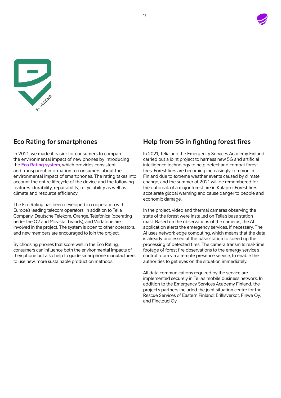



### **Eco Rating for smartphones**

In 2021, we made it easier for consumers to compare the environmental impact of new phones by introducing the [Eco Rating system](https://www.teliacompany.com/ecorating), which provides consistent and transparent information to consumers about the environmental impact of smartphones. The rating takes into account the entire lifecycle of the device and the following features: durability, repairability, recyclability as well as climate and resource efficiency.

The Eco Rating has been developed in cooperation with Europe's leading telecom operators. In addition to Telia Company, Deutsche Telekom, Orange, Telefónica (operating under the O2 and Movistar brands), and Vodafone are involved in the project. The system is open to other operators, and new members are encouraged to join the project.

By choosing phones that score well in the Eco Rating, consumers can influence both the environmental impacts of their phone but also help to guide smartphone manufacturers to use new, more sustainable production methods.

# **Help from 5G in fighting forest fires**

In 2021, Telia and the Emergency Services Academy Finland carried out a joint project to harness new 5G and artificial intelligence technology to help detect and combat forest fires. Forest fires are becoming increasingly common in Finland due to extreme weather events caused by climate change, and the summer of 2021 will be remembered for the outbreak of a major forest fire in Kalajoki. Forest fires accelerate global warming and cause danger to people and economic damage.

In the project, video and thermal cameras observing the state of the forest were installed on Telia's base station mast. Based on the observations of the cameras, the AI application alerts the emergency services, if necessary. The AI uses network edge computing, which means that the data is already processed at the base station to speed up the processing of detected fires. The camera transmits real-time footage of forest fire observations to the emergy service's control room via a remote presence service, to enable the authorities to get eyes on the situation immediately.

All data communications required by the service are implemented securely in Telia's mobile business network. In addition to the Emergency Services Academy Finland, the project's partners included the joint situation centre for the Rescue Services of Eastern Finland, Erillisverkot, Finwe Oy, and Fincloud Oy.